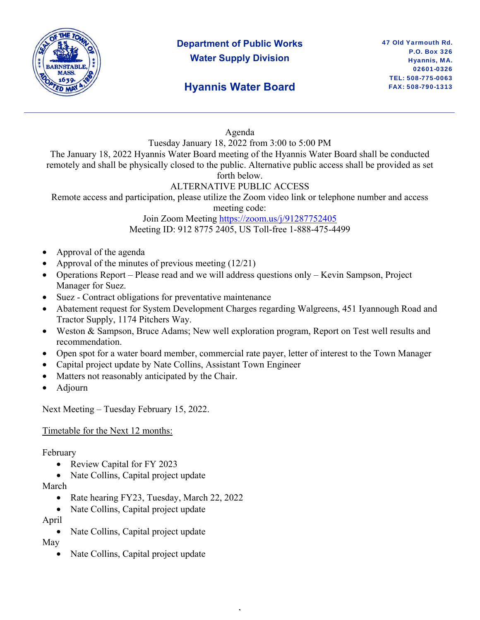

# **Department of Public Works Water Supply Division**

## **Hyannis Water Board**

Agenda

Tuesday January 18, 2022 from 3:00 to 5:00 PM

The January 18, 2022 Hyannis Water Board meeting of the Hyannis Water Board shall be conducted remotely and shall be physically closed to the public. Alternative public access shall be provided as set forth below.

### ALTERNATIVE PUBLIC ACCESS

Remote access and participation, please utilize the Zoom video link or telephone number and access

meeting code:

Join Zoom Meeting https://zoom.us/j/91287752405 Meeting ID: 912 8775 2405, US Toll-free 1-888-475-4499

- Approval of the agenda
- Approval of the minutes of previous meeting (12/21)
- Operations Report Please read and we will address questions only Kevin Sampson, Project Manager for Suez.
- Suez Contract obligations for preventative maintenance
- Abatement request for System Development Charges regarding Walgreens, 451 Iyannough Road and Tractor Supply, 1174 Pitchers Way.
- Weston & Sampson, Bruce Adams; New well exploration program, Report on Test well results and recommendation.
- Open spot for a water board member, commercial rate payer, letter of interest to the Town Manager

,

- Capital project update by Nate Collins, Assistant Town Engineer
- Matters not reasonably anticipated by the Chair.
- Adjourn

Next Meeting – Tuesday February 15, 2022.

#### Timetable for the Next 12 months:

#### February

- Review Capital for FY 2023
- Nate Collins, Capital project update

#### March

- Rate hearing FY23, Tuesday, March 22, 2022
- Nate Collins, Capital project update
- April
	- Nate Collins, Capital project update

May

Nate Collins, Capital project update